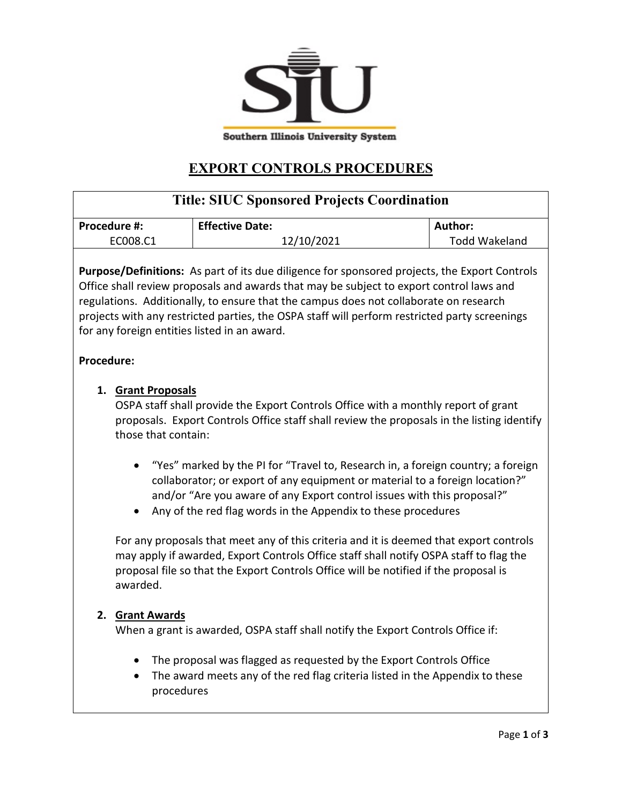

## **EXPORT CONTROLS PROCEDURES**

| <b>Title: SIUC Sponsored Projects Coordination</b>                                                                                                                                                                                                                                                                                                                                                                                                                                                                                                                                                                                                                                                                                                                                                                                    |                                                                                                                                                                                                                                        |                      |
|---------------------------------------------------------------------------------------------------------------------------------------------------------------------------------------------------------------------------------------------------------------------------------------------------------------------------------------------------------------------------------------------------------------------------------------------------------------------------------------------------------------------------------------------------------------------------------------------------------------------------------------------------------------------------------------------------------------------------------------------------------------------------------------------------------------------------------------|----------------------------------------------------------------------------------------------------------------------------------------------------------------------------------------------------------------------------------------|----------------------|
| Procedure #:                                                                                                                                                                                                                                                                                                                                                                                                                                                                                                                                                                                                                                                                                                                                                                                                                          | <b>Effective Date:</b>                                                                                                                                                                                                                 | Author:              |
| EC008.C1                                                                                                                                                                                                                                                                                                                                                                                                                                                                                                                                                                                                                                                                                                                                                                                                                              | 12/10/2021                                                                                                                                                                                                                             | <b>Todd Wakeland</b> |
| <b>Purpose/Definitions:</b> As part of its due diligence for sponsored projects, the Export Controls<br>Office shall review proposals and awards that may be subject to export control laws and<br>regulations. Additionally, to ensure that the campus does not collaborate on research<br>projects with any restricted parties, the OSPA staff will perform restricted party screenings<br>for any foreign entities listed in an award.                                                                                                                                                                                                                                                                                                                                                                                             |                                                                                                                                                                                                                                        |                      |
| <b>Procedure:</b>                                                                                                                                                                                                                                                                                                                                                                                                                                                                                                                                                                                                                                                                                                                                                                                                                     |                                                                                                                                                                                                                                        |                      |
| 1. Grant Proposals<br>OSPA staff shall provide the Export Controls Office with a monthly report of grant<br>proposals. Export Controls Office staff shall review the proposals in the listing identify<br>those that contain:<br>"Yes" marked by the PI for "Travel to, Research in, a foreign country; a foreign<br>collaborator; or export of any equipment or material to a foreign location?"<br>and/or "Are you aware of any Export control issues with this proposal?"<br>Any of the red flag words in the Appendix to these procedures<br>For any proposals that meet any of this criteria and it is deemed that export controls<br>may apply if awarded, Export Controls Office staff shall notify OSPA staff to flag the<br>proposal file so that the Export Controls Office will be notified if the proposal is<br>awarded. |                                                                                                                                                                                                                                        |                      |
| 2. Grant Awards<br>procedures                                                                                                                                                                                                                                                                                                                                                                                                                                                                                                                                                                                                                                                                                                                                                                                                         | When a grant is awarded, OSPA staff shall notify the Export Controls Office if:<br>The proposal was flagged as requested by the Export Controls Office<br>The award meets any of the red flag criteria listed in the Appendix to these |                      |
| Page 1 of 3                                                                                                                                                                                                                                                                                                                                                                                                                                                                                                                                                                                                                                                                                                                                                                                                                           |                                                                                                                                                                                                                                        |                      |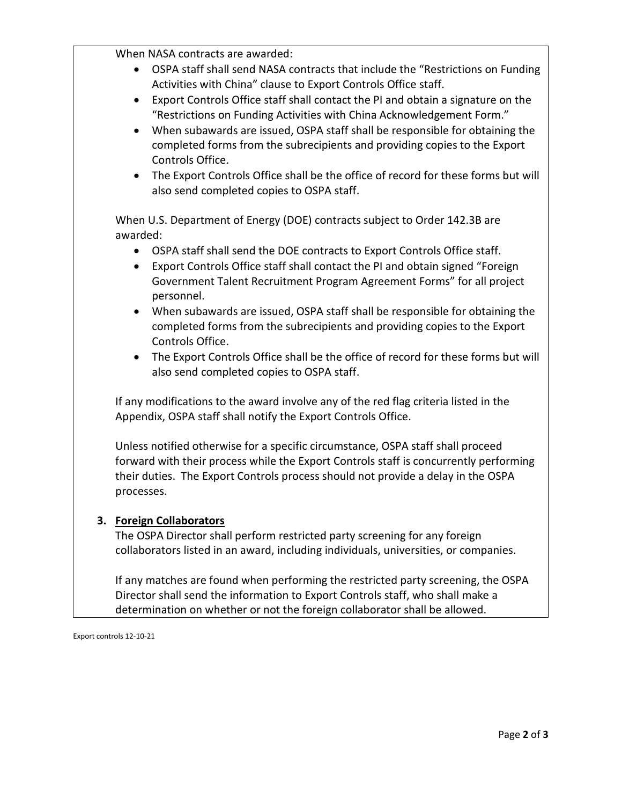When NASA contracts are awarded:

- OSPA staff shall send NASA contracts that include the "Restrictions on Funding Activities with China" clause to Export Controls Office staff.
- Export Controls Office staff shall contact the PI and obtain a signature on the "Restrictions on Funding Activities with China Acknowledgement Form."
- When subawards are issued, OSPA staff shall be responsible for obtaining the completed forms from the subrecipients and providing copies to the Export Controls Office.
- The Export Controls Office shall be the office of record for these forms but will also send completed copies to OSPA staff.

When U.S. Department of Energy (DOE) contracts subject to Order 142.3B are awarded:

- OSPA staff shall send the DOE contracts to Export Controls Office staff.
- Export Controls Office staff shall contact the PI and obtain signed "Foreign Government Talent Recruitment Program Agreement Forms" for all project personnel.
- When subawards are issued, OSPA staff shall be responsible for obtaining the completed forms from the subrecipients and providing copies to the Export Controls Office.
- The Export Controls Office shall be the office of record for these forms but will also send completed copies to OSPA staff.

If any modifications to the award involve any of the red flag criteria listed in the Appendix, OSPA staff shall notify the Export Controls Office.

Unless notified otherwise for a specific circumstance, OSPA staff shall proceed forward with their process while the Export Controls staff is concurrently performing their duties. The Export Controls process should not provide a delay in the OSPA processes.

## **3. Foreign Collaborators**

The OSPA Director shall perform restricted party screening for any foreign collaborators listed in an award, including individuals, universities, or companies.

If any matches are found when performing the restricted party screening, the OSPA Director shall send the information to Export Controls staff, who shall make a determination on whether or not the foreign collaborator shall be allowed.

Export controls 12-10-21